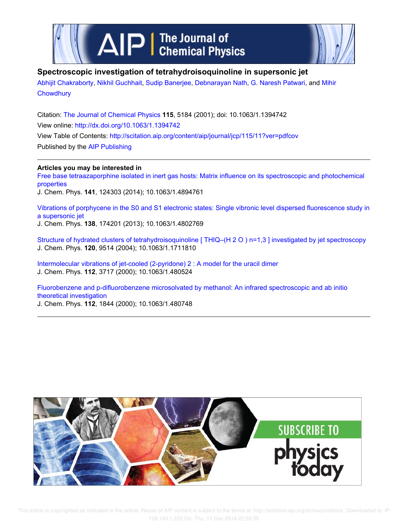



## **Spectroscopic investigation of tetrahydroisoquinoline in supersonic jet**

Abhijit Chakraborty, Nikhil Guchhait, Sudip Banerjee, Debnarayan Nath, G. Naresh Patwari, and Mihir **Chowdhury** 

Citation: The Journal of Chemical Physics **115**, 5184 (2001); doi: 10.1063/1.1394742 View online: http://dx.doi.org/10.1063/1.1394742 View Table of Contents: http://scitation.aip.org/content/aip/journal/jcp/115/11?ver=pdfcov Published by the AIP Publishing

**Articles you may be interested in**

Free base tetraazaporphine isolated in inert gas hosts: Matrix influence on its spectroscopic and photochemical properties

J. Chem. Phys. **141**, 124303 (2014); 10.1063/1.4894761

Vibrations of porphycene in the S0 and S1 electronic states: Single vibronic level dispersed fluorescence study in a supersonic jet

J. Chem. Phys. **138**, 174201 (2013); 10.1063/1.4802769

Structure of hydrated clusters of tetrahydroisoquinoline [ THIQ–(H 2 O ) n=1,3 ] investigated by jet spectroscopy J. Chem. Phys. **120**, 9514 (2004); 10.1063/1.1711810

Intermolecular vibrations of jet-cooled (2-pyridone) 2 : A model for the uracil dimer J. Chem. Phys. **112**, 3717 (2000); 10.1063/1.480524

Fluorobenzene and p-difluorobenzene microsolvated by methanol: An infrared spectroscopic and ab initio theoretical investigation

J. Chem. Phys. **112**, 1844 (2000); 10.1063/1.480748

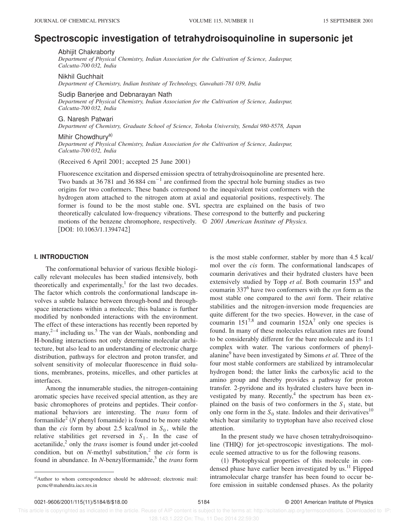# **Spectroscopic investigation of tetrahydroisoquinoline in supersonic jet**

Abhijit Chakraborty

*Department of Physical Chemistry, Indian Association for the Cultivation of Science, Jadavpur, Calcutta-700 032, India*

Nikhil Guchhait

*Department of Chemistry, Indian Institute of Technology, Guwahati-781 039, India*

Sudip Banerjee and Debnarayan Nath

*Department of Physical Chemistry, Indian Association for the Cultivation of Science, Jadavpur, Calcutta-700 032, India*

G. Naresh Patwari *Department of Chemistry, Graduate School of Science, Tohoku University, Sendai 980-8578, Japan*

### Mihir Chowdhurv<sup>a)</sup>

*Department of Physical Chemistry, Indian Association for the Cultivation of Science, Jadavpur, Calcutta-700 032, India*

 $(Received 6 April 2001; accepted 25 June 2001)$ 

Fluorescence excitation and dispersed emission spectra of tetrahydroisoquinoline are presented here. Two bands at 36 781 and 36 884 cm<sup>-1</sup> are confirmed from the spectral hole burning studies as two origins for two conformers. These bands correspond to the inequivalent twist conformers with the hydrogen atom attached to the nitrogen atom at axial and equatorial positions, respectively. The former is found to be the most stable one. SVL spectra are explained on the basis of two theoretically calculated low-frequency vibrations. These correspond to the butterfly and puckering motions of the benzene chromophore, respectively. © *2001 American Institute of Physics.* [DOI: 10.1063/1.1394742]

## **I. INTRODUCTION**

The conformational behavior of various flexible biologically relevant molecules has been studied intensively, both theoretically and experimentally,<sup>1</sup> for the last two decades. The factor which controls the conformational landscape involves a subtle balance between through-bond and throughspace interactions within a molecule; this balance is further modified by nonbonded interactions with the environment. The effect of these interactions has recently been reported by many, $2^{-4}$  including us.<sup>5</sup> The van der Waals, nonbonding and H-bonding interactions not only determine molecular architecture, but also lead to an understanding of electronic charge distribution, pathways for electron and proton transfer, and solvent sensitivity of molecular fluorescence in fluid solutions, membranes, proteins, micelles, and other particles at interfaces.

Among the innumerable studies, the nitrogen-containing aromatic species have received special attention, as they are basic chromophores of proteins and peptides. Their conformational behaviors are interesting. The *trans* form of formanilide<sup>2</sup> (*N* phenyl fomamide) is found to be more stable than the *cis* form by about 2.5 kcal/mol in  $S_0$ , while the relative stabilities get reversed in  $S_1$ . In the case of acetanilide,<sup>2</sup> only the *trans* isomer is found under jet-cooled condition, but on  $N$ -methyl substitution,<sup>2</sup> the *cis* form is found in abundance. In *N*-benzylformamide,<sup>3</sup> the *trans* form

is the most stable conformer, stabler by more than 4.5 kcal/ mol over the *cis* form. The conformational landscapes of coumarin derivatives and their hydrated clusters have been extensively studied by Topp et al. Both coumarin 153<sup>6</sup> and coumarin 337<sup>6</sup> have two conformers with the *syn* form as the most stable one compared to the *anti* form. Their relative stabilities and the nitrogen-inversion mode frequencies are quite different for the two species. However, in the case of coumarin  $151^{7,8}$  and coumarin  $152A^7$  only one species is found. In many of these molecules relaxation rates are found to be considerably different for the bare molecule and its 1:1 complex with water. The various conformers of phenylalanine<sup>9</sup> have been investigated by Simons *et al*. Three of the four most stable conformers are stabilized by intramolecular hydrogen bond; the latter links the carboxylic acid to the amino group and thereby provides a pathway for proton transfer. 2-pyridone and its hydrated clusters have been investigated by many. Recently, $4$  the spectrum has been explained on the basis of two conformers in the  $S_1$  state, but only one form in the  $S_0$  state. Indoles and their derivatives<sup>10</sup> which bear similarity to tryptophan have also received close attention.

In the present study we have chosen tetrahydroisoquinoline (THIQ) for jet-spectroscopic investigations. The molecule seemed attractive to us for the following reasons.

(1) Photophysical properties of this molecule in condensed phase have earlier been investigated by us.<sup>11</sup> Flipped intramolecular charge transfer has been found to occur before emission in suitable condensed phases. As the polarity

a)Author to whom correspondence should be addressed; electronic mail: pcmc@mahendra.iacs.res.in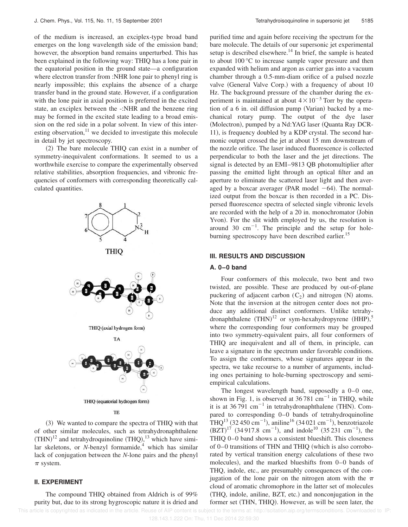of the medium is increased, an exciplex-type broad band emerges on the long wavelength side of the emission band; however, the absorption band remains unperturbed. This has been explained in the following way: THIQ has a lone pair in the equatorial position in the ground state—a configuration where electron transfer from :NHR lone pair to phenyl ring is nearly impossible; this explains the absence of a charge transfer band in the ground state. However, if a configuration with the lone pair in axial position is preferred in the excited state, an exciplex between the -:NHR and the benzene ring may be formed in the excited state leading to a broad emission on the red side in a polar solvent. In view of this interesting observation, $^{11}$  we decided to investigate this molecule in detail by jet spectroscopy.

 $(2)$  The bare molecule THIQ can exist in a number of symmetry-inequivalent conformations. It seemed to us a worthwhile exercise to compare the experimentally observed relative stabilities, absorption frequencies, and vibronic frequencies of conformers with corresponding theoretically calculated quantities.



~3! We wanted to compare the spectra of THIQ with that of other similar molecules, such as tetrahydronaphthalene  $(THN)^{12}$  and tetrahydroquinoline  $(THQ)$ , <sup>13</sup> which have similar skeletons, or *N*-benzyl formamide,<sup>4</sup> which has similar lack of conjugation between the *N*-lone pairs and the phenyl  $\pi$  system.

## **II. EXPERIMENT**

The compound THIQ obtained from Aldrich is of 99% purity but, due to its strong hygroscopic nature it is dried and

purified time and again before receiving the spectrum for the bare molecule. The details of our supersonic jet experimental setup is described elsewhere.<sup>14</sup> In brief, the sample is heated to about 100 °C to increase sample vapor pressure and then expanded with helium and argon as carrier gas into a vacuum chamber through a 0.5-mm-diam orifice of a pulsed nozzle valve (General Valve Corp.) with a frequency of about 10 Hz. The background pressure of the chamber during the experiment is maintained at about  $4 \times 10^{-5}$  Torr by the operation of a 6 in. oil diffusion pump (Varian) backed by a mechanical rotary pump. The output of the dye laser (Molectron), pumped by a Nd:YAG laser (Quanta Ray DCR-11), is frequency doubled by a KDP crystal. The second harmonic output crossed the jet at about 15 mm downstream of the nozzle orifice. The laser induced fluorescence is collected perpendicular to both the laser and the jet directions. The signal is detected by an EMI–9813 QB photomultiplier after passing the emitted light through an optical filter and an aperture to eliminate the scattered laser light and then averaged by a boxcar averager (PAR model  $-64$ ). The normalized output from the boxcar is then recorded in a PC. Dispersed fluorescence spectra of selected single vibronic levels are recorded with the help of a  $20$  in. monochromator (Jobin Yvon). For the slit width employed by us, the resolution is around  $30 \text{ cm}^{-1}$ . The principle and the setup for holeburning spectroscopy have been described earlier.<sup>15</sup>

## **III. RESULTS AND DISCUSSION**

## **A. 0–0 band**

Four conformers of this molecule, two bent and two twisted, are possible. These are produced by out-of-plane puckering of adjacent carbon  $(C_2)$  and nitrogen  $(N)$  atoms. Note that the inversion at the nitrogen center does not produce any additional distinct conformers. Unlike tetrahydronaphthalene  $(THN)^{12}$  or sym-hexahydropyrene  $(HHP)$ ,<sup>5</sup> where the corresponding four conformers may be grouped into two symmetry-equivalent pairs, all four conformers of THIQ are inequivalent and all of them, in principle, can leave a signature in the spectrum under favorable conditions. To assign the conformers, whose signatures appear in the spectra, we take recourse to a number of arguments, including ones pertaining to hole-burning spectroscopy and semiempirical calculations.

The longest wavelength band, supposedly a 0–0 one, shown in Fig. 1, is observed at  $36781 \text{ cm}^{-1}$  in THIQ, while it is at  $36791 \text{ cm}^{-1}$  in tetrahydronaphthalene (THN). Compared to corresponding 0–0 bands of tetrahydroquinoline  $\text{THQ}^{13}$  (32 450 cm<sup>-1</sup>), aniline<sup>16</sup> (34 021 cm<sup>-1</sup>), benzotriazole  $(BZT)^{17}$  (34 917.8 cm<sup>-1</sup>), and indole<sup>10</sup> (35 231 cm<sup>-1</sup>), the THIQ 0–0 band shows a consistent blueshift. This closeness of  $0-0$  transitions of THN and THIQ (which is also corroborated by vertical transition energy calculations of these two molecules), and the marked blueshifts from  $0-0$  bands of THQ, indole, etc., are presumably consequences of the conjugation of the lone pair on the nitrogen atom with the  $\pi$ cloud of aromatic chromophore in the latter set of molecules ~THQ, indole, aniline, BZT, etc.! and nonconjugation in the former set (THN, THIQ). However, as will be seen later, the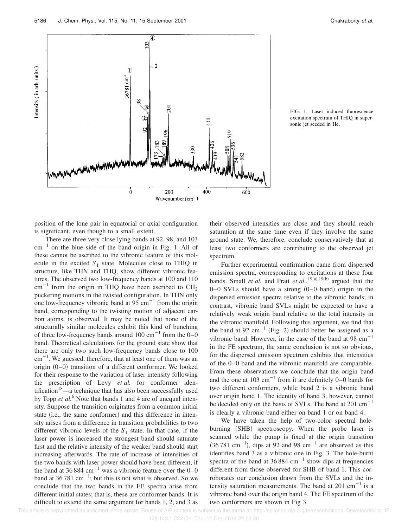



position of the lone pair in equatorial or axial configuration is significant, even though to a small extent.

There are three very close lying bands at 92, 98, and 103  $cm^{-1}$  on the blue side of the band origin in Fig. 1. All of these cannot be ascribed to the vibronic feature of this molecule in the excited  $S_1$  state. Molecules close to THIQ in structure, like THN and THQ, show different vibronic features. The observed two low-frequency bands at 100 and 110  $cm^{-1}$  from the origin in THQ have been ascribed to  $CH<sub>2</sub>$ puckering motions in the twisted configuration. In THN only one low-frequency vibronic band at  $95 \text{ cm}^{-1}$  from the origin band, corresponding to the twisting motion of adjacent carbon atoms, is observed. It may be noted that none of the structurally similar molecules exhibit this kind of bunching of three low-frequency bands around 100 cm<sup>-1</sup> from the  $0-0$ band. Theoretical calculations for the ground state show that there are only two such low-frequency bands close to 100  $\text{cm}^{-1}$ . We guessed, therefore, that at least one of them was an origin  $(0-0)$  transition of a different conformer. We looked for their response to the variation of laser intensity following the prescription of Levy *et al.* for conformer identification<sup>18</sup>—a technique that has also been successfully used by Topp *et al.*<sup>6</sup> Note that bands 1 and 4 are of unequal intensity. Suppose the transition originates from a common initial state (i.e., the same conformer) and this difference in intensity arises from a difference in transition probabilities to two different vibronic levels of the  $S_1$  state. In that case, if the laser power is increased the strongest band should saturate first and the relative intensity of the weaker band should start increasing afterwards. The rate of increase of intensities of the two bands with laser power should have been different, if the band at 36 884 cm<sup>-1</sup> was a vibronic feature over the  $0-0$ band at  $36781 \text{ cm}^{-1}$ ; but this is not what is observed. So we conclude that the two bands in the FE spectra arise from different initial states; that is, these are conformer bands. It is difficult to extend the same argument for bands 1, 2, and 3 as their observed intensities are close and they should reach saturation at the same time even if they involve the same ground state. We, therefore, conclude conservatively that at least two conformers are contributing to the observed jet spectrum.

Further experimental confirmation came from dispersed emission spectra, corresponding to excitations at these four bands. Small *et al.* and Pratt *et al.*,  $19(a), 19(b)$  argued that the  $0-0$  SVLs should have a strong  $(0-0)$  band) origin in the dispersed emission spectra relative to the vibronic bands; in contrast, vibronic band SVLs might be expected to have a relatively weak origin band relative to the total intensity in the vibronic manifold. Following this argument, we find that the band at 92 cm<sup>-1</sup> (Fig. 2) should better be assigned as a vibronic band. However, in the case of the band at 98  $cm^{-1}$ in the FE spectrum, the same conclusion is not so obvious, for the dispersed emission spectrum exhibits that intensities of the 0–0 band and the vibronic manifold are comparable. From these observations we conclude that the origin band and the one at 103 cm<sup>-1</sup> from it are definitely  $0-0$  bands for two different conformers, while band 2 is a vibronic band over origin band 1. The identity of band 3, however, cannot be decided only on the basis of SVLs. The band at  $201 \text{ cm}^{-1}$ is clearly a vibronic band either on band 1 or on band 4.

We have taken the help of two-color spectral holeburning (SHB) spectroscopy. When the probe laser is scanned while the pump is fixed at the origin transition  $(36781 \text{ cm}^{-1})$ , dips at 92 and 98 cm<sup>-1</sup> are observed as this identifies band 3 as a vibronic one in Fig. 3. The hole-burnt spectra of the band at  $36884 \text{ cm}^{-1}$  show dips at frequencies different from those observed for SHB of band 1. This corroborates our conclusion drawn from the SVLs and the intensity saturation measurements. The band at  $201 \text{ cm}^{-1}$  is a vibronic band over the origin band 4. The FE spectrum of the two conformers are shown in Fig 3.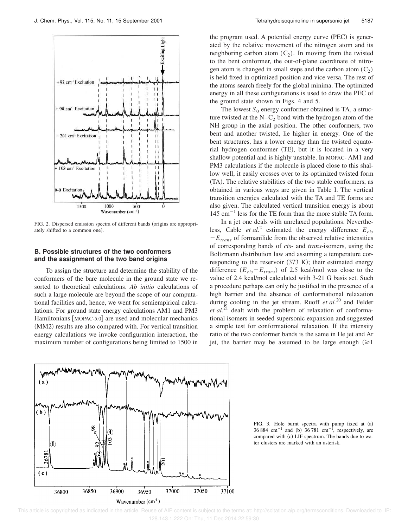

FIG. 2. Dispersed emission spectra of different bands (origins are appropriately shifted to a common one).

## **B. Possible structures of the two conformers and the assignment of the two band origins**

To assign the structure and determine the stability of the conformers of the bare molecule in the ground state we resorted to theoretical calculations. *Ab initio* calculations of such a large molecule are beyond the scope of our computational facilities and, hence, we went for semiempirical calculations. For ground state energy calculations AM1 and PM3 Hamiltonians [MOPAC-5.0] are used and molecular mechanics (MM2) results are also compared with. For vertical transition energy calculations we invoke configuration interaction, the maximum number of configurations being limited to 1500 in the program used. A potential energy curve (PEC) is generated by the relative movement of the nitrogen atom and its neighboring carbon atom  $(C_2)$ . In moving from the twisted to the bent conformer, the out-of-plane coordinate of nitrogen atom is changed in small steps and the carbon atom  $(C_2)$ is held fixed in optimized position and vice versa. The rest of the atoms search freely for the global minima. The optimized energy in all these configurations is used to draw the PEC of the ground state shown in Figs. 4 and 5.

The lowest  $S_0$  energy conformer obtained is TA, a structure twisted at the  $N-C_2$  bond with the hydrogen atom of the NH group in the axial position. The other conformers, two bent and another twisted, lie higher in energy. One of the bent structures, has a lower energy than the twisted equatorial hydrogen conformer (TE), but it is located in a very shallow potential and is highly unstable. In MOPAC- AM1 and PM3 calculations if the molecule is placed close to this shallow well, it easily crosses over to its optimized twisted form ~TA!. The relative stabilities of the two stable conformers, as obtained in various ways are given in Table I. The vertical transition energies calculated with the TA and TE forms are also given. The calculated vertical transition energy is about  $145 \text{ cm}^{-1}$  less for the TE form than the more stable TA form.

In a jet one deals with unrelaxed populations. Nevertheless, Cable *et al.*<sup>2</sup> estimated the energy difference  $E_{cis}$  $-E<sub>trans</sub>$  of formanilide from the observed relative intensities of corresponding bands of *cis*- and *trans*-isomers, using the Boltzmann distribution law and assuming a temperature corresponding to the reservoir  $(373 \text{ K})$ ; their estimated energy difference  $(E_{cis}-E_{trans})$  of 2.5 kcal/mol was close to the value of 2.4 kcal/mol calculated with 3-21 G basis set. Such a procedure perhaps can only be justified in the presence of a high barrier and the absence of conformational relaxation during cooling in the jet stream. Ruoff *et al.*<sup>20</sup> and Felder *et al.*<sup>21</sup> dealt with the problem of relaxation of conformational isomers in seeded supersonic expansion and suggested a simple test for conformational relaxation. If the intensity ratio of the two conformer bands is the same in He jet and Ar jet, the barrier may be assumed to be large enough  $(\geq 1)$ 



FIG. 3. Hole burnt spectra with pump fixed at (a) 36 884 cm<sup>-1</sup> and (b) 36 781 cm<sup>-1</sup>, respectively, are compared with (c) LIF spectrum. The bands due to water clusters are marked with an asterisk.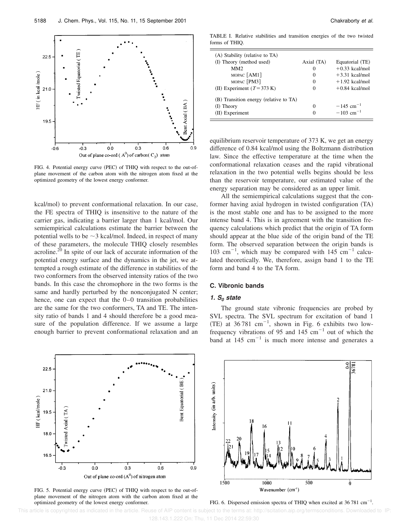

FIG. 4. Potential energy curve (PEC) of THIQ with respect to the out-ofplane movement of the carbon atom with the nitrogen atom fixed at the optimized geometry of the lowest energy conformer.

kcal/mol) to prevent conformational relaxation. In our case, the FE spectra of THIQ is insensitive to the nature of the carrier gas, indicating a barrier larger than 1 kcal/mol. Our semiempirical calculations estimate the barrier between the potential wells to be  $\sim$ 3 kcal/mol. Indeed, in respect of many of these parameters, the molecule THIQ closely resembles acroline.<sup>20</sup> In spite of our lack of accurate information of the potential energy surface and the dynamics in the jet, we attempted a rough estimate of the difference in stabilities of the two conformers from the observed intensity ratios of the two bands. In this case the chromophore in the two forms is the same and hardly perturbed by the nonconjugated N center; hence, one can expect that the 0–0 transition probabilities are the same for the two conformers, TA and TE. The intensity ratio of bands 1 and 4 should therefore be a good measure of the population difference. If we assume a large enough barrier to prevent conformational relaxation and an



FIG. 5. Potential energy curve (PEC) of THIQ with respect to the out-ofplane movement of the nitrogen atom with the carbon atom fixed at the optimized geometry of the lowest energy conformer. FIG. 6. Dispersed emission spectra of THIQ when excited at 36 781 cm<sup>-1</sup>.

TABLE I. Relative stabilities and transition energies of the two twisted forms of THIQ.

| (A) Stability (relative to TA)         |            |                         |
|----------------------------------------|------------|-------------------------|
| (I) Theory (method used)               | Axial (TA) | Equatorial (TE)         |
| MM <sub>2</sub>                        | 0          | $+0.33$ kcal/mol        |
| MOPAC [AM1]                            | 0          | $+3.31$ kcal/mol        |
| MOPAC [PM3]                            | $\Omega$   | $+1.92$ kcal/mol        |
| (II) Experiment $(T = 373 \text{ K})$  | $_{0}$     | $+0.84$ kcal/mol        |
| (B) Transition energy (relative to TA) |            |                         |
| $(I)$ Theory                           | 0          | $-145$ cm <sup>-1</sup> |
| (II) Experiment                        |            | $-103$ cm <sup>-1</sup> |

equilibrium reservoir temperature of 373 K, we get an energy difference of 0.84 kcal/mol using the Boltzmann distribution law. Since the effective temperature at the time when the conformational relaxation ceases and the rapid vibrational relaxation in the two potential wells begins should be less than the reservoir temperature, our estimated value of the energy separation may be considered as an upper limit.

All the semiempirical calculations suggest that the conformer having axial hydrogen in twisted configuration (TA) is the most stable one and has to be assigned to the more intense band 4. This is in agreement with the transition frequency calculations which predict that the origin of TA form should appear at the blue side of the origin band of the TE form. The observed separation between the origin bands is 103 cm<sup>-1</sup>, which may be compared with 145 cm<sup>-1</sup> calculated theoretically. We, therefore, assign band 1 to the TE form and band 4 to the TA form.

## **C. Vibronic bands**

### **1. S<sup>0</sup> state**

The ground state vibronic frequencies are probed by SVL spectra. The SVL spectrum for excitation of band 1 (TE) at  $36781 \text{ cm}^{-1}$ , shown in Fig. 6 exhibits two lowfrequency vibrations of 95 and 145  $cm^{-1}$  out of which the band at  $145 \text{ cm}^{-1}$  is much more intense and generates a

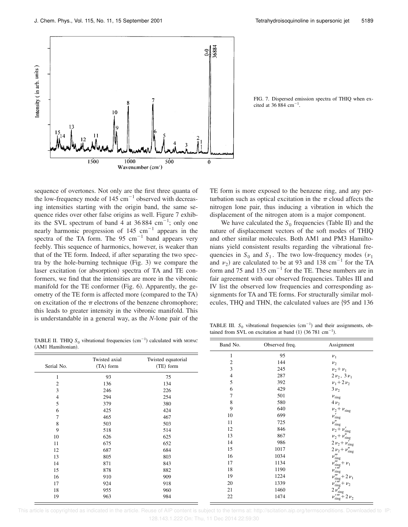FIG. 7. Dispersed emission spectra of THIQ when ex-



sequence of overtones. Not only are the first three quanta of the low-frequency mode of  $145 \text{ cm}^{-1}$  observed with decreasing intensities starting with the origin band, the same sequence rides over other false origins as well. Figure 7 exhibits the SVL spectrum of band 4 at 36 884 cm<sup>-1</sup>; only one nearly harmonic progression of  $145 \text{ cm}^{-1}$  appears in the spectra of the TA form. The 95  $\text{cm}^{-1}$  band appears very feebly. This sequence of harmonics, however, is weaker than that of the TE form. Indeed, if after separating the two spectra by the hole-burning technique  $(Fig. 3)$  we compare the laser excitation (or absorption) spectra of TA and TE conformers, we find that the intensities are more in the vibronic manifold for the TE conformer  $(Fig. 6)$ . Apparently, the geometry of the TE form is affected more (compared to the TA) on excitation of the  $\pi$  electrons of the benzene chromophore; this leads to greater intensity in the vibronic manifold. This is understandable in a general way, as the *N*-lone pair of the

TE form is more exposed to the benzene ring, and any perturbation such as optical excitation in the  $\pi$  cloud affects the nitrogen lone pair, thus inducing a vibration in which the displacement of the nitrogen atom is a major component.

cited at 36 884 cm<sup>-1</sup>.

We have calculated the  $S_0$  frequencies (Table II) and the nature of displacement vectors of the soft modes of THIQ and other similar molecules. Both AM1 and PM3 Hamiltonians yield consistent results regarding the vibrational frequencies in  $S_0$  and  $S_1$ . The two low-frequency modes ( $\nu_1$ ) and  $v_2$ ) are calculated to be at 93 and 138 cm<sup>-1</sup> for the TA form and 75 and 135  $\text{cm}^{-1}$  for the TE. These numbers are in fair agreement with our observed frequencies. Tables III and IV list the observed low frequencies and corresponding assignments for TA and TE forms. For structurally similar molecules, THQ and THN, the calculated values are  ${95}$  and 136

TABLE II. THIQ  $S_0$  vibrational frequencies  $(cm^{-1})$  calculated with MOPAC  $(AM1 H$ 

| $\mu$ and $\mu$ and $\mu$ and $\mu$ and $\mu$ and $\mu$ and $\mu$ and $\mu$ and $\mu$ and $\mu$<br>(AM1 Hamiltonian). |                            |                                 | Band No. | Observed freq.   | Assignment                                               |
|-----------------------------------------------------------------------------------------------------------------------|----------------------------|---------------------------------|----------|------------------|----------------------------------------------------------|
| Serial No.                                                                                                            | Twisted axial<br>(TA) form | Twisted equatorial<br>(TE) form | 2<br>3   | 95<br>144<br>245 | $\nu_1$<br>$v_2$<br>$v_2 + v_1$                          |
|                                                                                                                       | 93                         | 75                              | 4        | 287              | $2\nu_2$ , $3\nu_1$                                      |
|                                                                                                                       | 136                        | 134                             | 5        | 392              | $v_1 + 2 v_2$                                            |
| 3                                                                                                                     | 246                        | 226                             | 6        | 429              | $3v_2$                                                   |
|                                                                                                                       | 294                        | 254                             |          | 501              | $\nu_{\rm ring}$                                         |
| 5                                                                                                                     | 379                        | 380                             | 8        | 580              | $4\nu_2$                                                 |
| 6                                                                                                                     | 425                        | 424                             | 9        | 640              | $\nu_2+\nu_\text{ring}$                                  |
|                                                                                                                       | 465                        | 467                             | 10       | 699              | $\nu'_{\rm ring}$                                        |
| 8                                                                                                                     | 503                        | 503                             | 11       | 725              | $\nu''_{\text{ring}}$                                    |
| 9                                                                                                                     | 518                        | 514                             | 12       | 846              | $v_2 + v'_{\text{ring}}$                                 |
| 10                                                                                                                    | 626                        | 625                             | 13       | 867              | $v_2 + v''_{\text{ring}}$                                |
| 11                                                                                                                    | 675                        | 652                             | 14       | 986              | $2 \nu_2 + \nu_{\rm ring}'$                              |
| 12                                                                                                                    | 687                        | 684                             | 15       | 1017             | $2 \nu_2 + \nu_{\rm ring}''$                             |
| 13                                                                                                                    | 805                        | 803                             | 16       | 1034             | $v_{\text{ring}}'''$                                     |
| 14                                                                                                                    | 871                        | 843                             | 17       | 1134             | $\nu'''_{\text{ring}} + \nu_1$                           |
| 15                                                                                                                    | 878                        | 882                             | 18       | 1190             | ı nĭ<br>$\nu_{\rm ring}$                                 |
| 16                                                                                                                    | 910                        | 909                             | 19       | 1224             | $\nu'''_{\text{ring}} + 2 \nu_1$                         |
| 17                                                                                                                    | 924                        | 918                             | 20       | 1339             | $\nu_{\text{ring}}^{\prime\prime\prime\prime}$ + $\nu_2$ |
| 18                                                                                                                    | 955                        | 960                             | 21       | 1460             | $2\nu''_{\rm ring}$                                      |
| 19                                                                                                                    | 963                        | 984                             | 22       | 1474             | $\nu_{\text{ring}}'' + 2 \nu_2$                          |

TABLE III.  $S_0$  vibrational frequencies  $(cm<sup>-1</sup>)$  and their assignments, obtained from SVL on excitation at band  $(1)$  (36 781 cm<sup>-1</sup>).

| 4  | 287  | $2\nu_2$ , $3\nu_1$                                       |
|----|------|-----------------------------------------------------------|
| 5  | 392  | $v_1 + 2 v_2$                                             |
| 6  | 429  | $3v_2$                                                    |
| 7  | 501  | $\nu_{\rm ring}$                                          |
| 8  | 580  | $4\nu_2$                                                  |
| 9  | 640  | $v_2 + v_{\text{ring}}$                                   |
| 10 | 699  | $\nu'_{\text{ring}}$                                      |
| 11 | 725  | $\nu''_{\rm ring}$                                        |
| 12 | 846  | $v_2 + v'_{\text{ring}}$                                  |
| 13 | 867  | $v_2 + v''_{\text{ring}}$                                 |
| 14 | 986  | $2 v_2 + v_{\text{ring}}^{\bar{r}}$                       |
| 15 | 1017 | $2 v_2 + v''_{\text{ring}}$                               |
| 16 | 1034 | $v_{\text{ring}}'''$                                      |
| 17 | 1134 | $v_{\text{ring}}^m + v_1$<br>$v_{\text{ring}}^{\prime m}$ |
| 18 | 1190 |                                                           |
| 19 | 1224 | $\nu_{\rm ring}^{\prime\prime\prime}$ + 2 $\nu_1$         |
| 20 | 1339 | $\nu_{\rm ring}^{\prime\prime\prime\prime} + \nu_2$       |
| 21 | 1460 | $2\nu_{\text{ring}}^{\prime\prime}$                       |
| 22 | 1474 | $\nu_{\rm ring}^{\prime\prime\prime\prime} + 2 \nu_2$     |

This article is copyrighted as indicated in the article. Reuse of AIP:  $\overline{a}$ 128.143.1.222 On: Thu, 11 Dec 2014 22:59:30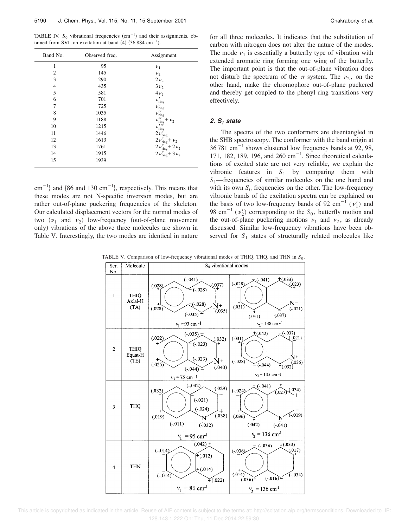TABLE IV.  $S_0$  vibrational frequencies  $(cm<sup>-1</sup>)$  and their assignments, obtained from SVL on excitation at band  $(4)$  (36 884 cm<sup>-1</sup>).

| Band No.       | Observed freq. | Assignment                                                                                       |
|----------------|----------------|--------------------------------------------------------------------------------------------------|
| 1              | 95             | $v_1$                                                                                            |
| $\overline{c}$ | 145            | $v_2$                                                                                            |
| 3              | 290            | $2\nu_2$                                                                                         |
| $\overline{4}$ | 435            | $3\nu_2$                                                                                         |
| 5              | 581            | $4v_2$                                                                                           |
| 6              | 701            | $\nu'_{\rm ring}$                                                                                |
| 7              | 725            |                                                                                                  |
| 8              | 1035           | $\nu''_{\rm ring} \nu'''_{\rm ring}$                                                             |
| 9              | 1188           | $\nu'''_{\text{ring}} + \nu_2$                                                                   |
| 10             | 1215           |                                                                                                  |
| 11             | 1446           | $v_{\text{ring}}^{l m}$<br>$2 v_{\text{ring}}^{l m}$                                             |
| 12             | 1613           | $2\, \nu''_{\rm ring} + \nu_2$                                                                   |
| 13             | 1761           |                                                                                                  |
| 14             | 1915           | $2 \nu_{\text{ring}}^{\prime\prime} + 2 \nu_2$<br>$2 \nu_{\text{ring}}^{\prime\prime} + 3 \nu_2$ |
| 15             | 1939           |                                                                                                  |

 $\text{cm}^{-1}$ } and {86 and 130 cm<sup>-1</sup>}, respectively. This means that these modes are not N-specific inversion modes, but are rather out-of-plane puckering frequencies of the skeleton. Our calculated displacement vectors for the normal modes of two  $(\nu_1 \text{ and } \nu_2)$  low-frequency (out-of-plane movement only) vibrations of the above three molecules are shown in Table V. Interestingly, the two modes are identical in nature for all three molecules. It indicates that the substitution of carbon with nitrogen does not alter the nature of the modes. The mode  $\nu_1$  is essentially a butterfly type of vibration with extended aromatic ring forming one wing of the butterfly. The important point is that the out-of-plane vibration does not disturb the spectrum of the  $\pi$  system. The  $\nu_2$ , on the other hand, make the chromophore out-of-plane puckered and thereby get coupled to the phenyl ring transitions very effectively.

## **2. S<sup>1</sup> state**

The spectra of the two conformers are disentangled in the SHB spectroscopy. The conformer with the band origin at  $36781 \text{ cm}^{-1}$  shows clustered low frequency bands at 92, 98, 171, 182, 189, 196, and  $260 \text{ cm}^{-1}$ . Since theoretical calculations of excited state are not very reliable, we explain the vibronic features in  $S_1$  by comparing them with *S*1—frequencies of similar molecules on the one hand and with its own  $S_0$  frequencies on the other. The low-frequency vibronic bands of the excitation spectra can be explained on the basis of two low-frequency bands of 92 cm<sup>-1</sup>  $(v'_1)$  and 98 cm<sup>-1</sup> ( $v_2$ ) corresponding to the  $S_0$ , butterfly motion and the out-of-plane puckering motions  $\nu_1$  and  $\nu_2$ , as already discussed. Similar low-frequency vibrations have been observed for  $S_1$  states of structurally related molecules like

TABLE V. Comparison of low-frequency vibrational modes of THIQ, THQ, and THN in  $S_0$ .